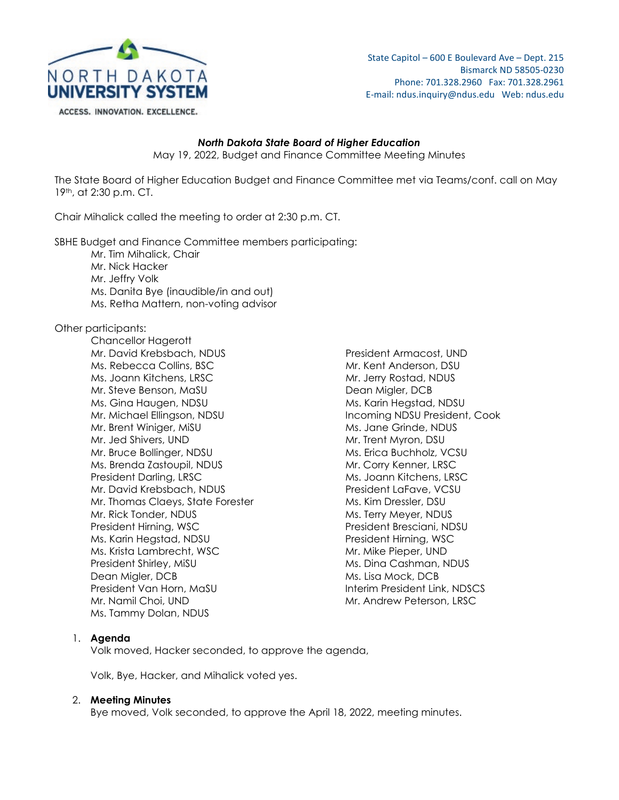

State Capitol – 600 E Boulevard Ave – Dept. 215 Bismarck ND 58505-0230 Phone: 701.328.2960 Fax: 701.328.2961 E-mail: ndus.inquiry@ndus.edu Web: ndus.edu

### *North Dakota State Board of Higher Education*

May 19, 2022, Budget and Finance Committee Meeting Minutes

The State Board of Higher Education Budget and Finance Committee met via Teams/conf. call on May 19th, at 2:30 p.m. CT.

Chair Mihalick called the meeting to order at 2:30 p.m. CT.

SBHE Budget and Finance Committee members participating:

Mr. Tim Mihalick, Chair Mr. Nick Hacker Mr. Jeffry Volk Ms. Danita Bye (inaudible/in and out) Ms. Retha Mattern, non-voting advisor

# Other participants:

Chancellor Hagerott Mr. David Krebsbach, NDUS President Armacost, UND Ms. Rebecca Collins, BSC Mr. Kent Anderson, DSU Ms. Joann Kitchens, LRSC Mr. Jerry Rostad, NDUS Mr. Steve Benson, MaSU Dean Migler, DCB Ms. Gina Haugen, NDSU Manuel Ms. Karin Hegstad, NDSU Mr. Michael Ellingson, NDSU **Incoming NDSU President, Cook** Mr. Brent Winiger, MiSU Ms. Jane Grinde, NDUS Mr. Jed Shivers, UND Mr. Trent Myron, DSU Mr. Bruce Bollinger, NDSU Mateur Ms. Erica Buchholz, VCSU Ms. Brenda Zastoupil, NDUS Manuel Mr. Corry Kenner, LRSC President Darling, LRSC Ms. Joann Kitchens, LRSC Mr. David Krebsbach, NDUS President LaFave, VCSU Mr. Thomas Claeys, State Forester Ms. Kim Dressler, DSU Mr. Rick Tonder, NDUS Ms. Terry Meyer, NDUS President Hirning, WSC **President Bresciani, NDSU** Ms. Karin Hegstad, NDSU President Hirning, WSC Ms. Krista Lambrecht, WSC Mr. Mike Pieper, UND President Shirley, MiSU **Ms. Dina Cashman, NDUS** Dean Migler, DCB Ms. Lisa Mock, DCB President Van Horn, MaSU Interim President Link, NDSCS Mr. Namil Choi, UND **Mr. Andrew Peterson, LRSC** Ms. Tammy Dolan, NDUS

# 1. **Agenda**

Volk moved, Hacker seconded, to approve the agenda,

Volk, Bye, Hacker, and Mihalick voted yes.

# 2. **Meeting Minutes**

Bye moved, Volk seconded, to approve the April 18, 2022, meeting minutes.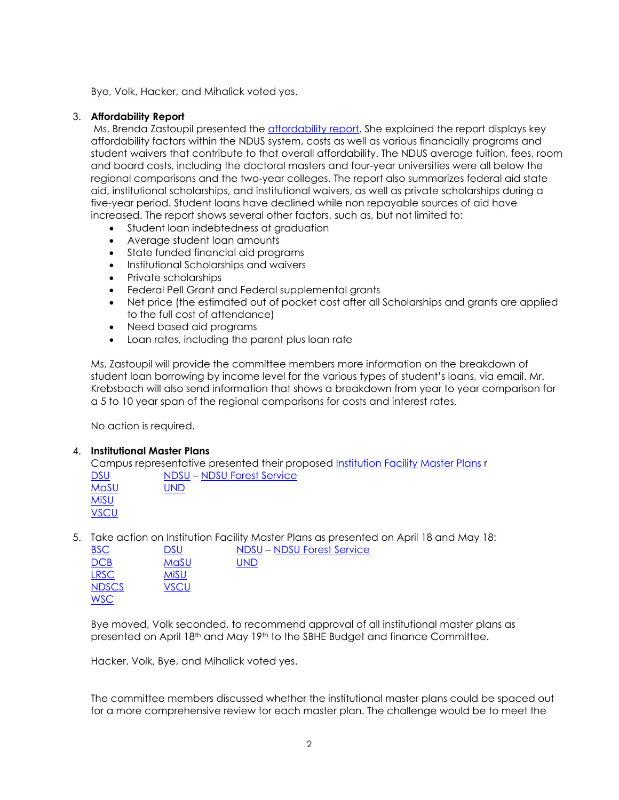Bye, Volk, Hacker, and Mihalick voted yes.

### 3. **Affordability Report**

Ms. Brenda Zastoupil presented the [affordability report.](https://ndusbpos.sharepoint.com/:w:/s/NDUSSBHE/EbYJg_6eiqhKrlw6bovcd48BYQqqNb_Ksun6iBtwUTRQbA?e=gZ6LVE) She explained the report displays key affordability factors within the NDUS system, costs as well as various financially programs and student waivers that contribute to that overall affordability. The NDUS average tuition, fees, room and board costs, including the doctoral masters and four-year universities were all below the regional comparisons and the two-year colleges. The report also summarizes federal aid state aid, institutional scholarships, and institutional waivers, as well as private scholarships during a five-year period. Student loans have declined while non repayable sources of aid have increased. The report shows several other factors, such as, but not limited to:

- Student loan indebtedness at graduation
- Average student loan amounts
- State funded financial aid programs
- Institutional Scholarships and waivers
- Private scholarships
- Federal Pell Grant and Federal supplemental grants
- Net price (the estimated out of pocket cost after all Scholarships and grants are applied to the full cost of attendance)
- Need based aid programs
- Loan rates, including the parent plus loan rate

Ms. Zastoupil will provide the committee members more information on the breakdown of student loan borrowing by income level for the various types of student's loans, via email. Mr. Krebsbach will also send information that shows a breakdown from year to year comparison for a 5 to 10 year span of the regional comparisons for costs and interest rates.

No action is required.

#### 4. **Institutional Master Plans**

Campus representative presented their proposed [Institution Facility Master Plans](https://ndusbpos.sharepoint.com/:b:/s/NDUSSBHE/ES-MVVPvPVtMrHrd1tO-blQB3t3vfidDLU8JrLzkoc44pA?e=XIdAgm) r

| <b>DSU</b>  | NDSU – NDSU Forest Service |
|-------------|----------------------------|
| MaSU        | UND                        |
| <b>MISU</b> |                            |
| <b>VSCU</b> |                            |

5. Take action on Institution Facility Master Plans as presented on April 18 and May 18:

| <b>BSC</b>   | <b>DSU</b>  |
|--------------|-------------|
| <b>DCB</b>   | MaSU        |
| <b>LRSC</b>  | <b>MiSU</b> |
| <b>NDSCS</b> | <b>VSCU</b> |
| <b>WSC</b>   |             |

**N[DSU](https://ndusbpos.sharepoint.com/:f:/s/NDUSSBHE/EibKeAS6YSxIitJQIaSs1DABiMilGfJlGS9bwctFicxYFw?e=W8MhfY) – [NDSU](https://ndusbpos.sharepoint.com/:b:/s/NDUSSBHE/EUGyMYW4j6BEoqfOEAFbzOsBDm2zK7PV37OtVNs3fvZ0ZQ?e=dynlzm) Forest Service** [UND](https://ndusbpos.sharepoint.com/:f:/s/NDUSSBHE/Egco0Koi7PpClC6WrmwJXigBZz2Z_PaNBEYUndyUgxhExA?e=mJBOpy)

Bye moved, Volk seconded, to recommend approval of all institutional master plans as presented on April 18th and May 19th to the SBHE Budget and finance Committee.

Hacker, Volk, Bye, and Mihalick voted yes.

The committee members discussed whether the institutional master plans could be spaced out for a more comprehensive review for each master plan. The challenge would be to meet the